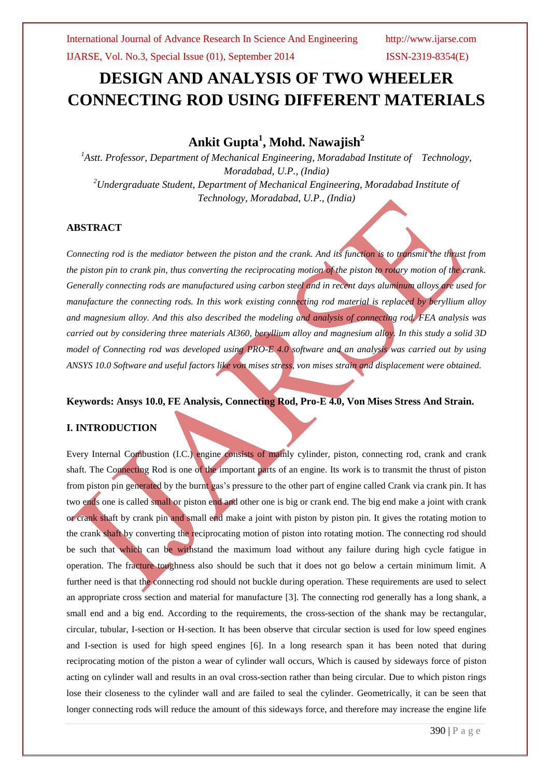# **DESIGN AND ANALYSIS OF TWO WHEELER CONNECTING ROD USING DIFFERENT MATERIALS**

## **Ankit Gupta<sup>1</sup> , Mohd. Nawajish<sup>2</sup>**

*<sup>1</sup>Astt. Professor, Department of Mechanical Engineering, Moradabad Institute of Technology, Moradabad, U.P., (India) <sup>2</sup>Undergraduate Student, Department of Mechanical Engineering, Moradabad Institute of Technology, Moradabad, U.P., (India)*

## **ABSTRACT**

*Connecting rod is the mediator between the piston and the crank. And its function is to transmit the thrust from the piston pin to crank pin, thus converting the reciprocating motion of the piston to rotary motion of the crank. Generally connecting rods are manufactured using carbon steel and in recent days aluminum alloys are used for manufacture the connecting rods. In this work existing connecting rod material is replaced by beryllium alloy and magnesium alloy. And this also described the modeling and analysis of connecting rod. FEA analysis was carried out by considering three materials Al360, beryllium alloy and magnesium alloy. In this study a solid 3D model of Connecting rod was developed using PRO-E 4.0 software and an analysis was carried out by using ANSYS 10.0 Software and useful factors like von mises stress, von mises strain and displacement were obtained.*

## **Keywords: Ansys 10.0, FE Analysis, Connecting Rod, Pro-E 4.0, Von Mises Stress And Strain.**

## **I. INTRODUCTION**

Every Internal Combustion (I.C.) engine consists of mainly cylinder, piston, connecting rod, crank and crank shaft. The Connecting Rod is one of the important parts of an engine. Its work is to transmit the thrust of piston from piston pin generated by the burnt gas's pressure to the other part of engine called Crank via crank pin. It has two ends one is called small or piston end and other one is big or crank end. The big end make a joint with crank or crank shaft by crank pin and small end make a joint with piston by piston pin. It gives the rotating motion to the crank shaft by converting the reciprocating motion of piston into rotating motion. The connecting rod should be such that which can be withstand the maximum load without any failure during high cycle fatigue in operation. The fracture toughness also should be such that it does not go below a certain minimum limit. A further need is that the connecting rod should not buckle during operation. These requirements are used to select an appropriate cross section and material for manufacture [3]. The connecting rod generally has a long shank, a small end and a big end. According to the requirements, the cross-section of the shank may be rectangular, circular, tubular, I-section or H-section. It has been observe that circular section is used for low speed engines and I-section is used for high speed engines [6]. In a long research span it has been noted that during reciprocating motion of the piston a wear of cylinder wall occurs, Which is caused by sideways force of piston acting on cylinder wall and results in an oval cross-section rather than being circular. Due to which piston rings lose their closeness to the cylinder wall and are failed to seal the cylinder. Geometrically, it can be seen that longer connecting rods will reduce the amount of this sideways force, and therefore may increase the engine life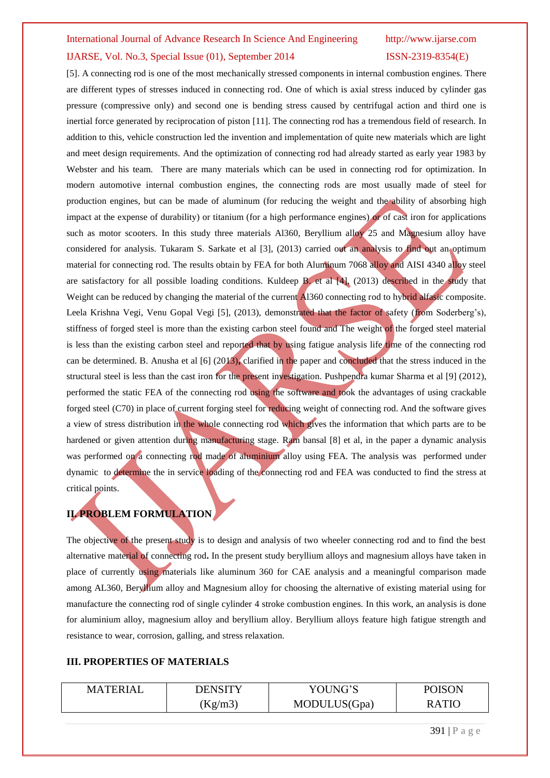## International Journal of Advance Research In Science And Engineering http://www.ijarse.com IJARSE, Vol. No.3, Special Issue (01), September 2014 ISSN-2319-8354(E)

[5]. A connecting rod is one of the most mechanically stressed components in internal combustion engines. There are different types of stresses induced in connecting rod. One of which is axial stress induced by cylinder gas pressure (compressive only) and second one is bending stress caused by centrifugal action and third one is inertial force generated by reciprocation of piston [11]. The connecting rod has a tremendous field of research. In addition to this, vehicle construction led the invention and implementation of quite new materials which are light and meet design requirements. And the optimization of connecting rod had already started as early year 1983 by Webster and his team. There are many materials which can be used in connecting rod for optimization. In modern automotive internal combustion engines, the connecting rods are most usually made of steel for production engines, but can be made of aluminum (for reducing the weight and the ability of absorbing high impact at the expense of durability) or titanium (for a high performance engines) or of cast iron for applications such as motor scooters. In this study three materials Al360, Beryllium alloy 25 and Magnesium alloy have considered for analysis. Tukaram S. Sarkate et al [3], (2013) carried out an analysis to find out an optimum material for connecting rod. The results obtain by FEA for both Aluminum 7068 alloy and AISI 4340 alloy steel are satisfactory for all possible loading conditions. Kuldeep B. et al [4], (2013) described in the study that Weight can be reduced by changing the material of the current Al360 connecting rod to hybrid alfasic composite. Leela Krishna Vegi, Venu Gopal Vegi [5], (2013), demonstrated that the factor of safety (from Soderberg's), stiffness of forged steel is more than the existing carbon steel found and The weight of the forged steel material is less than the existing carbon steel and reported that by using fatigue analysis life time of the connecting rod can be determined. B. Anusha et al [6] (2013)**,** clarified in the paper and concluded that the stress induced in the structural steel is less than the cast iron for the present investigation. Pushpendra kumar Sharma et al [9] (2012), performed the static FEA of the connecting rod using the software and took the advantages of using crackable forged steel (C70) in place of current forging steel for reducing weight of connecting rod. And the software gives a view of stress distribution in the whole connecting rod which gives the information that which parts are to be hardened or given attention during manufacturing stage. Ram bansal [8] et al, in the paper a dynamic analysis was performed on a connecting rod made of aluminium alloy using FEA. The analysis was performed under dynamic to determine the in service loading of the connecting rod and FEA was conducted to find the stress at critical points.

## **II. PROBLEM FORMULATION**

The objective of the present study is to design and analysis of two wheeler connecting rod and to find the best alternative material of connecting rod**.** In the present study beryllium alloys and magnesium alloys have taken in place of currently using materials like aluminum 360 for CAE analysis and a meaningful comparison made among AL360, Beryllium alloy and Magnesium alloy for choosing the alternative of existing material using for manufacture the connecting rod of single cylinder 4 stroke combustion engines. In this work, an analysis is done for aluminium alloy, magnesium alloy and beryllium alloy. Beryllium alloys feature high fatigue strength and resistance to wear, corrosion, galling, and stress relaxation.

#### **III. PROPERTIES OF MATERIALS**

| <b>MATERIAL</b> | DENSITY | YOUNG'S      | <b>POISON</b> |
|-----------------|---------|--------------|---------------|
|                 | Kg/m3   | MODULUS(Gpa) | RATIO         |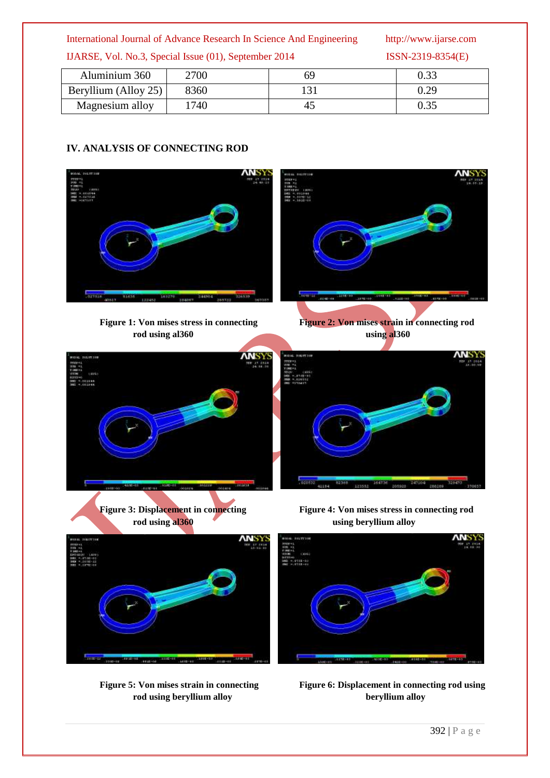## International Journal of Advance Research In Science And Engineering http://www.ijarse.com

IJARSE, Vol. No.3, Special Issue (01), September 2014 ISSN-2319-8354(E)

| Aluminium 360        | 2700 |    | 0.33 |
|----------------------|------|----|------|
| Beryllium (Alloy 25) | 8360 |    | 0.29 |
| Magnesium alloy      | .740 | 4. | 0.35 |

## **IV. ANALYSIS OF CONNECTING ROD**



**Figure 1:** Von mises stress in connecting Figure 2: Von mises strain in connecting rod **rod using al360** using al360









Figure 5: Von mises strain in connecting Figure 6: Displacement in connecting rod using **rod using beryllium alloy beryllium alloy**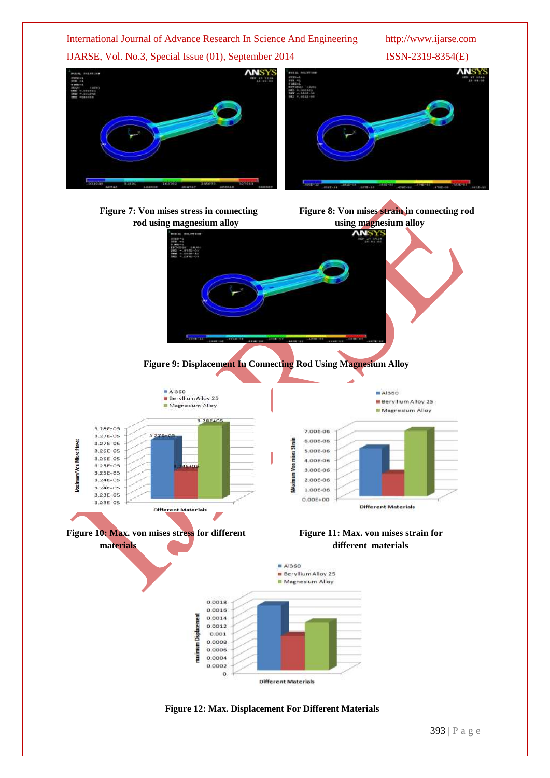

**Figure 12: Max. Displacement For Different Materials**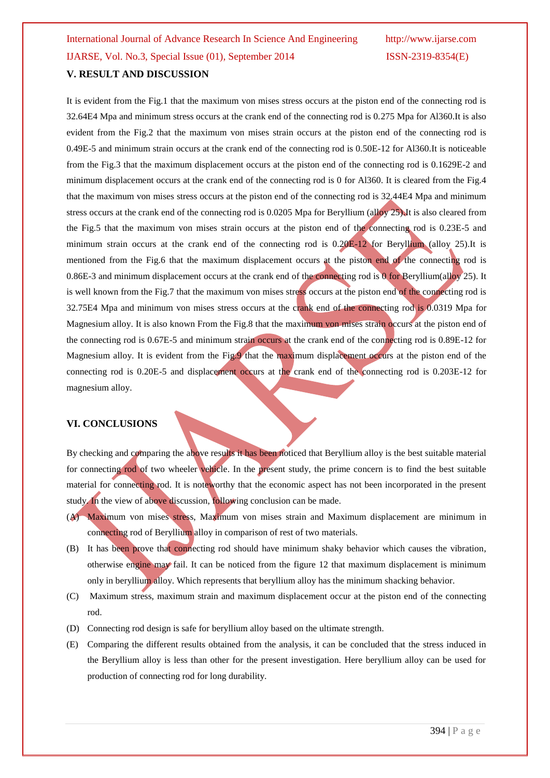It is evident from the Fig.1 that the maximum von mises stress occurs at the piston end of the connecting rod is 32.64E4 Mpa and minimum stress occurs at the crank end of the connecting rod is 0.275 Mpa for Al360.It is also evident from the Fig.2 that the maximum von mises strain occurs at the piston end of the connecting rod is 0.49E-5 and minimum strain occurs at the crank end of the connecting rod is 0.50E-12 for Al360.It is noticeable from the Fig.3 that the maximum displacement occurs at the piston end of the connecting rod is 0.1629E-2 and minimum displacement occurs at the crank end of the connecting rod is 0 for Al360. It is cleared from the Fig.4 that the maximum von mises stress occurs at the piston end of the connecting rod is 32.44E4 Mpa and minimum stress occurs at the crank end of the connecting rod is 0.0205 Mpa for Beryllium (alloy 25). It is also cleared from the Fig.5 that the maximum von mises strain occurs at the piston end of the connecting rod is 0.23E-5 and minimum strain occurs at the crank end of the connecting rod is 0.20E-12 for Beryllium (alloy 25).It is mentioned from the Fig.6 that the maximum displacement occurs at the piston end of the connecting rod is 0.86E-3 and minimum displacement occurs at the crank end of the connecting rod is 0 for Beryllium(alloy 25). It is well known from the Fig.7 that the maximum von mises stress occurs at the piston end of the connecting rod is 32.75E4 Mpa and minimum von mises stress occurs at the crank end of the connecting rod is 0.0319 Mpa for Magnesium alloy. It is also known From the Fig.8 that the maximum von mises strain occurs at the piston end of the connecting rod is 0.67E-5 and minimum strain occurs at the crank end of the connecting rod is 0.89E-12 for Magnesium alloy. It is evident from the Fig.9 that the maximum displacement occurs at the piston end of the connecting rod is 0.20E-5 and displacement occurs at the crank end of the connecting rod is 0.203E-12 for magnesium alloy.

## **VI. CONCLUSIONS**

By checking and comparing the above results it has been noticed that Beryllium alloy is the best suitable material for connecting rod of two wheeler vehicle. In the present study, the prime concern is to find the best suitable material for connecting rod. It is noteworthy that the economic aspect has not been incorporated in the present study. In the view of above discussion, following conclusion can be made.

- (A) Maximum von mises stress, Maximum von mises strain and Maximum displacement are minimum in connecting rod of Beryllium alloy in comparison of rest of two materials.
- (B) It has been prove that connecting rod should have minimum shaky behavior which causes the vibration, otherwise engine may fail. It can be noticed from the figure 12 that maximum displacement is minimum only in beryllium alloy. Which represents that beryllium alloy has the minimum shacking behavior.
- (C) Maximum stress, maximum strain and maximum displacement occur at the piston end of the connecting rod.
- (D) Connecting rod design is safe for beryllium alloy based on the ultimate strength.
- (E) Comparing the different results obtained from the analysis, it can be concluded that the stress induced in the Beryllium alloy is less than other for the present investigation. Here beryllium alloy can be used for production of connecting rod for long durability.